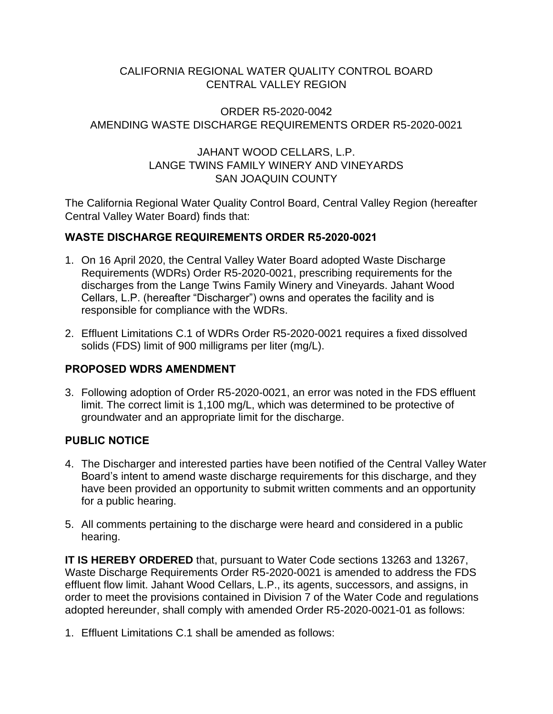## CALIFORNIA REGIONAL WATER QUALITY CONTROL BOARD CENTRAL VALLEY REGION

#### ORDER R5-2020-0042 AMENDING WASTE DISCHARGE REQUIREMENTS ORDER R5-2020-0021

# JAHANT WOOD CELLARS, L.P. LANGE TWINS FAMILY WINERY AND VINEYARDS SAN JOAQUIN COUNTY

The California Regional Water Quality Control Board, Central Valley Region (hereafter Central Valley Water Board) finds that:

## **WASTE DISCHARGE REQUIREMENTS ORDER R5-2020-0021**

- 1. On 16 April 2020, the Central Valley Water Board adopted Waste Discharge Requirements (WDRs) Order R5-2020-0021, prescribing requirements for the discharges from the Lange Twins Family Winery and Vineyards. Jahant Wood Cellars, L.P. (hereafter "Discharger") owns and operates the facility and is responsible for compliance with the WDRs.
- 2. Effluent Limitations C.1 of WDRs Order R5-2020-0021 requires a fixed dissolved solids (FDS) limit of 900 milligrams per liter (mg/L).

## **PROPOSED WDRS AMENDMENT**

3. Following adoption of Order R5-2020-0021, an error was noted in the FDS effluent limit. The correct limit is 1,100 mg/L, which was determined to be protective of groundwater and an appropriate limit for the discharge.

## **PUBLIC NOTICE**

- 4. The Discharger and interested parties have been notified of the Central Valley Water Board's intent to amend waste discharge requirements for this discharge, and they have been provided an opportunity to submit written comments and an opportunity for a public hearing.
- 5. All comments pertaining to the discharge were heard and considered in a public hearing.

**IT IS HEREBY ORDERED** that, pursuant to Water Code sections 13263 and 13267, Waste Discharge Requirements Order R5-2020-0021 is amended to address the FDS effluent flow limit. Jahant Wood Cellars, L.P., its agents, successors, and assigns, in order to meet the provisions contained in Division 7 of the Water Code and regulations adopted hereunder, shall comply with amended Order R5-2020-0021-01 as follows:

1. Effluent Limitations C.1 shall be amended as follows: